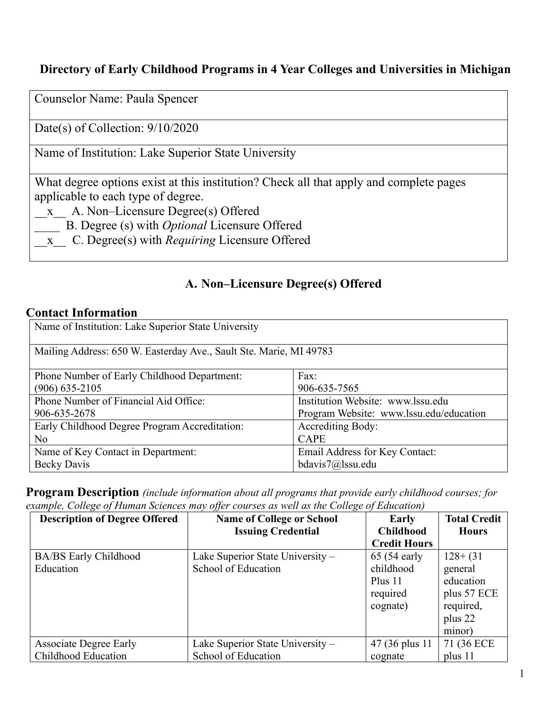#### **Directory of Early Childhood Programs in 4 Year Colleges and Universities in Michigan**

Counselor Name: Paula Spencer

Date(s) of Collection: 9/10/2020

Name of Institution: Lake Superior State University

What degree options exist at this institution? Check all that apply and complete pages applicable to each type of degree.

- \_\_x\_\_ A. Non–Licensure Degree(s) Offered
- \_\_\_\_ B. Degree (s) with *Optional* Licensure Offered
- \_\_x\_\_ C. Degree(s) with *Requiring* Licensure Offered

### **A. Non–Licensure Degree(s) Offered**

#### **Contact Information**

| Name of Institution: Lake Superior State University                |                                         |  |
|--------------------------------------------------------------------|-----------------------------------------|--|
| Mailing Address: 650 W. Easterday Ave., Sault Ste. Marie, MI 49783 |                                         |  |
| Phone Number of Early Childhood Department:                        | Fax:                                    |  |
| $(906)$ 635-2105                                                   | 906-635-7565                            |  |
| Phone Number of Financial Aid Office:                              | Institution Website: www.lssu.edu       |  |
| 906-635-2678                                                       | Program Website: www.lssu.edu/education |  |
| Early Childhood Degree Program Accreditation:                      | <b>Accrediting Body:</b>                |  |
| No                                                                 | <b>CAPE</b>                             |  |
| Name of Key Contact in Department:                                 | Email Address for Key Contact:          |  |
| <b>Becky Davis</b>                                                 | bdavis7@lssu.edu                        |  |

**Program Description** *(include information about all programs that provide early childhood courses; for example, College of Human Sciences may offer courses as well as the College of Education)*

| <b>Description of Degree Offered</b> | <b>Name of College or School</b> | Early               | <b>Total Credit</b> |
|--------------------------------------|----------------------------------|---------------------|---------------------|
|                                      | <b>Issuing Credential</b>        | <b>Childhood</b>    | <b>Hours</b>        |
|                                      |                                  | <b>Credit Hours</b> |                     |
| <b>BA/BS</b> Early Childhood         | Lake Superior State University - | $65(54$ early       | $128 + (31)$        |
| Education                            | School of Education              | childhood           | general             |
|                                      |                                  | Plus 11             | education           |
|                                      |                                  | required            | plus 57 ECE         |
|                                      |                                  | cognate)            | required,           |
|                                      |                                  |                     | plus 22             |
|                                      |                                  |                     | minor)              |
| <b>Associate Degree Early</b>        | Lake Superior State University - | 47 (36 plus 11)     | 71 (36 ECE          |
| Childhood Education                  | School of Education              | cognate             | plus 11             |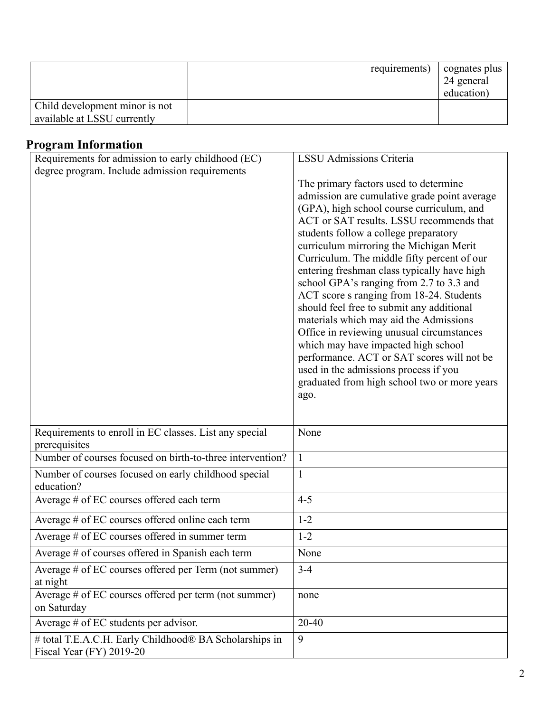|                                                               | requirements) | cognates plus<br>24 general<br>education) |
|---------------------------------------------------------------|---------------|-------------------------------------------|
| Child development minor is not<br>available at LSSU currently |               |                                           |

# **Program Information**

| $v_{\mathbf{S}}$ and thromation                                                    | <b>LSSU</b> Admissions Criteria              |
|------------------------------------------------------------------------------------|----------------------------------------------|
| Requirements for admission to early childhood (EC)                                 |                                              |
| degree program. Include admission requirements                                     |                                              |
|                                                                                    | The primary factors used to determine        |
|                                                                                    | admission are cumulative grade point average |
|                                                                                    | (GPA), high school course curriculum, and    |
|                                                                                    | ACT or SAT results. LSSU recommends that     |
|                                                                                    | students follow a college preparatory        |
|                                                                                    | curriculum mirroring the Michigan Merit      |
|                                                                                    | Curriculum. The middle fifty percent of our  |
|                                                                                    | entering freshman class typically have high  |
|                                                                                    | school GPA's ranging from 2.7 to 3.3 and     |
|                                                                                    | ACT score s ranging from 18-24. Students     |
|                                                                                    | should feel free to submit any additional    |
|                                                                                    | materials which may aid the Admissions       |
|                                                                                    | Office in reviewing unusual circumstances    |
|                                                                                    | which may have impacted high school          |
|                                                                                    | performance. ACT or SAT scores will not be   |
|                                                                                    | used in the admissions process if you        |
|                                                                                    | graduated from high school two or more years |
|                                                                                    | ago.                                         |
|                                                                                    |                                              |
|                                                                                    |                                              |
| Requirements to enroll in EC classes. List any special                             | None                                         |
| prerequisites                                                                      |                                              |
| Number of courses focused on birth-to-three intervention?                          | $\mathbf{1}$                                 |
| Number of courses focused on early childhood special                               | $\mathbf{1}$                                 |
| education?                                                                         |                                              |
| Average # of EC courses offered each term                                          | $4 - 5$                                      |
| Average # of EC courses offered online each term                                   | $1 - 2$                                      |
| Average # of EC courses offered in summer term                                     | $1 - 2$                                      |
| Average # of courses offered in Spanish each term                                  | None                                         |
| Average # of EC courses offered per Term (not summer)                              | $3 - 4$                                      |
| at night                                                                           |                                              |
| Average # of EC courses offered per term (not summer)                              | none                                         |
| on Saturday                                                                        |                                              |
| Average # of EC students per advisor.                                              |                                              |
|                                                                                    | 20-40                                        |
| # total T.E.A.C.H. Early Childhood® BA Scholarships in<br>Fiscal Year (FY) 2019-20 | 9                                            |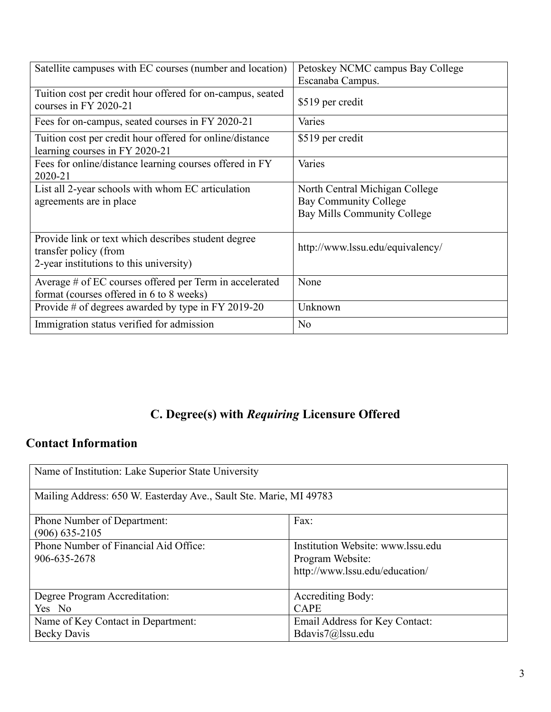| Satellite campuses with EC courses (number and location)                                                                | Petoskey NCMC campus Bay College<br>Escanaba Campus.                                          |
|-------------------------------------------------------------------------------------------------------------------------|-----------------------------------------------------------------------------------------------|
| Tuition cost per credit hour offered for on-campus, seated<br>courses in FY 2020-21                                     | \$519 per credit                                                                              |
| Fees for on-campus, seated courses in FY 2020-21                                                                        | Varies                                                                                        |
| Tuition cost per credit hour offered for online/distance<br>learning courses in FY 2020-21                              | \$519 per credit                                                                              |
| Fees for online/distance learning courses offered in FY<br>2020-21                                                      | Varies                                                                                        |
| List all 2-year schools with whom EC articulation<br>agreements are in place                                            | North Central Michigan College<br><b>Bay Community College</b><br>Bay Mills Community College |
| Provide link or text which describes student degree<br>transfer policy (from<br>2-year institutions to this university) | http://www.lssu.edu/equivalency/                                                              |
| Average # of EC courses offered per Term in accelerated<br>format (courses offered in 6 to 8 weeks)                     | None                                                                                          |
| Provide # of degrees awarded by type in FY 2019-20                                                                      | Unknown                                                                                       |
| Immigration status verified for admission                                                                               | No                                                                                            |

# **C. Degree(s) with** *Requiring* **Licensure Offered**

### **Contact Information**

| Name of Institution: Lake Superior State University                |                                                                                         |  |
|--------------------------------------------------------------------|-----------------------------------------------------------------------------------------|--|
| Mailing Address: 650 W. Easterday Ave., Sault Ste. Marie, MI 49783 |                                                                                         |  |
| Phone Number of Department:<br>$(906)$ 635-2105                    | Fax:                                                                                    |  |
| Phone Number of Financial Aid Office:<br>906-635-2678              | Institution Website: www.lssu.edu<br>Program Website:<br>http://www.lssu.edu/education/ |  |
| Degree Program Accreditation:<br>Yes No                            | Accrediting Body:<br><b>CAPE</b>                                                        |  |
| Name of Key Contact in Department:<br><b>Becky Davis</b>           | Email Address for Key Contact:<br>Bdavis7@lssu.edu                                      |  |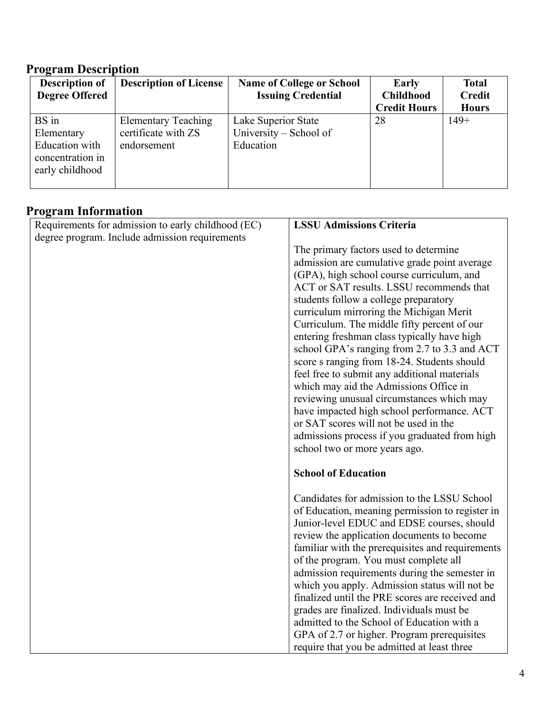## **Program Description**

| <b>Description of</b> | <b>Description of License</b> | <b>Name of College or School</b> | Early               | <b>Total</b>  |
|-----------------------|-------------------------------|----------------------------------|---------------------|---------------|
| <b>Degree Offered</b> |                               | <b>Issuing Credential</b>        | <b>Childhood</b>    | <b>Credit</b> |
|                       |                               |                                  | <b>Credit Hours</b> | <b>Hours</b>  |
| BS in                 | <b>Elementary Teaching</b>    | Lake Superior State              | 28                  | $149+$        |
| Elementary            | certificate with ZS           | University – School of           |                     |               |
| Education with        | endorsement                   | Education                        |                     |               |
| concentration in      |                               |                                  |                     |               |
| early childhood       |                               |                                  |                     |               |
|                       |                               |                                  |                     |               |

# **Program Information**

| Requirements for admission to early childhood (EC) | <b>LSSU Admissions Criteria</b>                  |
|----------------------------------------------------|--------------------------------------------------|
| degree program. Include admission requirements     |                                                  |
|                                                    | The primary factors used to determine            |
|                                                    | admission are cumulative grade point average     |
|                                                    | (GPA), high school course curriculum, and        |
|                                                    | ACT or SAT results. LSSU recommends that         |
|                                                    | students follow a college preparatory            |
|                                                    | curriculum mirroring the Michigan Merit          |
|                                                    | Curriculum. The middle fifty percent of our      |
|                                                    | entering freshman class typically have high      |
|                                                    | school GPA's ranging from 2.7 to 3.3 and ACT     |
|                                                    | score s ranging from 18-24. Students should      |
|                                                    | feel free to submit any additional materials     |
|                                                    | which may aid the Admissions Office in           |
|                                                    | reviewing unusual circumstances which may        |
|                                                    | have impacted high school performance. ACT       |
|                                                    | or SAT scores will not be used in the            |
|                                                    | admissions process if you graduated from high    |
|                                                    | school two or more years ago.                    |
|                                                    | <b>School of Education</b>                       |
|                                                    | Candidates for admission to the LSSU School      |
|                                                    | of Education, meaning permission to register in  |
|                                                    | Junior-level EDUC and EDSE courses, should       |
|                                                    | review the application documents to become       |
|                                                    | familiar with the prerequisites and requirements |
|                                                    | of the program. You must complete all            |
|                                                    | admission requirements during the semester in    |
|                                                    | which you apply. Admission status will not be    |
|                                                    | finalized until the PRE scores are received and  |
|                                                    | grades are finalized. Individuals must be        |
|                                                    | admitted to the School of Education with a       |
|                                                    | GPA of 2.7 or higher. Program prerequisites      |
|                                                    | require that you be admitted at least three      |